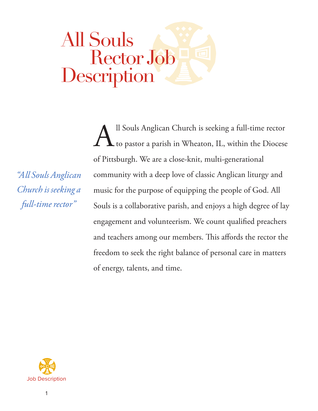# All Souls Rector Job Description

*"All Souls Anglican Church is seeking a full-time rector"*

All Souls Anglican Church is seeking a full-time rector<br>to pastor a parish in Wheaton, IL, within the Diocese to pastor a parish in Wheaton, IL, within the Diocese of Pittsburgh. We are a close-knit, multi-generational community with a deep love of classic Anglican liturgy and music for the purpose of equipping the people of God. All Souls is a collaborative parish, and enjoys a high degree of lay engagement and volunteerism. We count qualified preachers and teachers among our members. This affords the rector the freedom to seek the right balance of personal care in matters of energy, talents, and time.

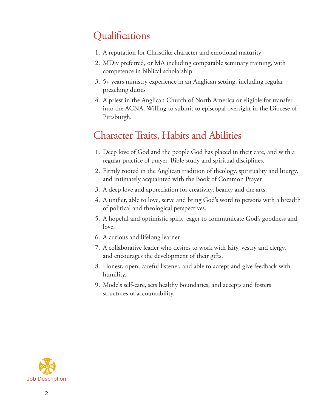### Qualifications

- 1. A reputation for Christlike character and emotional maturity
- 2. MDiv preferred, or MA including comparable seminary training, with competence in biblical scholarship
- 3. 5+ years ministry experience in an Anglican setting, including regular preaching duties
- 4. A priest in the Anglican Church of North America or eligible for transfer into the ACNA. Willing to submit to episcopal oversight in the Diocese of Pittsburgh.

### Character Traits, Habits and Abilities

- 1. Deep love of God and the people God has placed in their care, and with a regular practice of prayer, Bible study and spiritual disciplines.
- 2. Firmly rooted in the Anglican tradition of theology, spirituality and liturgy, and intimately acquainted with the Book of Common Prayer.
- 3. A deep love and appreciation for creativity, beauty and the arts.
- 4. A unifier, able to love, serve and bring God's word to persons with a breadth of political and theological perspectives.
- 5. A hopeful and optimistic spirit, eager to communicate God's goodness and love.
- 6. A curious and lifelong learner.
- 7. A collaborative leader who desires to work with laity, vestry and clergy, and encourages the development of their gifts.
- 8. Honest, open, careful listener, and able to accept and give feedback with humility.
- 9. Models self-care, sets healthy boundaries, and accepts and fosters structures of accountability.

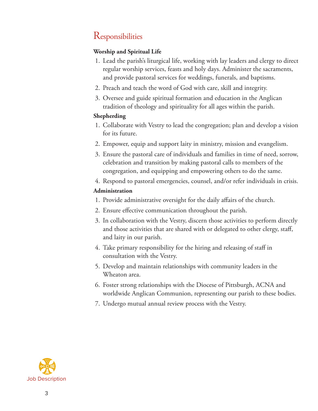### **Responsibilities**

#### **Worship and Spiritual Life**

- 1. Lead the parish's liturgical life, working with lay leaders and clergy to direct regular worship services, feasts and holy days. Administer the sacraments, and provide pastoral services for weddings, funerals, and baptisms.
- 2. Preach and teach the word of God with care, skill and integrity.
- 3. Oversee and guide spiritual formation and education in the Anglican tradition of theology and spirituality for all ages within the parish.

#### **Shepherding**

- 1. Collaborate with Vestry to lead the congregation; plan and develop a vision for its future.
- 2. Empower, equip and support laity in ministry, mission and evangelism.
- 3. Ensure the pastoral care of individuals and families in time of need, sorrow, celebration and transition by making pastoral calls to members of the congregation, and equipping and empowering others to do the same.
- 4. Respond to pastoral emergencies, counsel, and/or refer individuals in crisis.

#### **Administration**

- 1. Provide administrative oversight for the daily affairs of the church.
- 2. Ensure effective communication throughout the parish.
- 3. In collaboration with the Vestry, discern those activities to perform directly and those activities that are shared with or delegated to other clergy, staff, and laity in our parish.
- 4. Take primary responsibility for the hiring and releasing of staff in consultation with the Vestry.
- 5. Develop and maintain relationships with community leaders in the Wheaton area.
- 6. Foster strong relationships with the Diocese of Pittsburgh, ACNA and worldwide Anglican Communion, representing our parish to these bodies.
- 7. Undergo mutual annual review process with the Vestry.